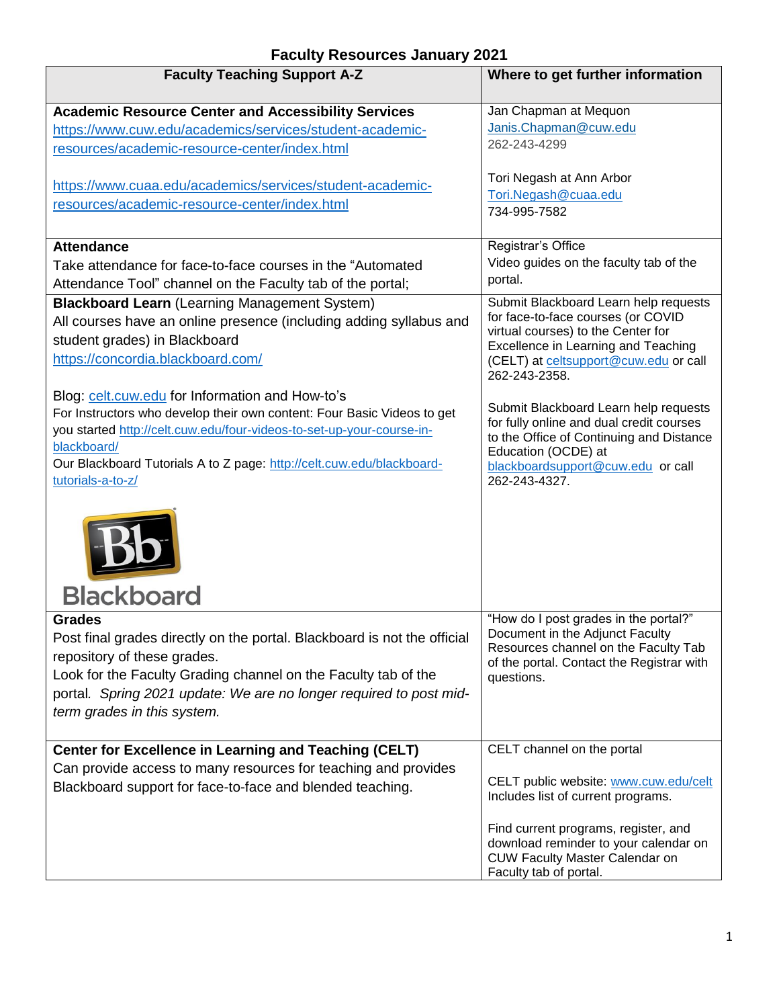## **Faculty Resources January 2021**

| <b>Faculty Teaching Support A-Z</b>                                      | Where to get further information                                                                                                                 |
|--------------------------------------------------------------------------|--------------------------------------------------------------------------------------------------------------------------------------------------|
| <b>Academic Resource Center and Accessibility Services</b>               | Jan Chapman at Mequon                                                                                                                            |
| https://www.cuw.edu/academics/services/student-academic-                 | Janis.Chapman@cuw.edu                                                                                                                            |
| resources/academic-resource-center/index.html                            | 262-243-4299                                                                                                                                     |
| https://www.cuaa.edu/academics/services/student-academic-                | Tori Negash at Ann Arbor<br>Tori.Negash@cuaa.edu                                                                                                 |
| resources/academic-resource-center/index.html                            | 734-995-7582                                                                                                                                     |
| <b>Attendance</b>                                                        | Registrar's Office                                                                                                                               |
| Take attendance for face-to-face courses in the "Automated               | Video guides on the faculty tab of the                                                                                                           |
| Attendance Tool" channel on the Faculty tab of the portal;               | portal.                                                                                                                                          |
| <b>Blackboard Learn</b> (Learning Management System)                     | Submit Blackboard Learn help requests                                                                                                            |
| All courses have an online presence (including adding syllabus and       | for face-to-face courses (or COVID                                                                                                               |
| student grades) in Blackboard                                            | virtual courses) to the Center for                                                                                                               |
| https://concordia.blackboard.com/                                        | Excellence in Learning and Teaching<br>(CELT) at celtsupport@cuw.edu or call<br>262-243-2358.                                                    |
| Blog: celt.cuw.edu for Information and How-to's                          |                                                                                                                                                  |
| For Instructors who develop their own content: Four Basic Videos to get  | Submit Blackboard Learn help requests                                                                                                            |
| you started http://celt.cuw.edu/four-videos-to-set-up-your-course-in-    | for fully online and dual credit courses<br>to the Office of Continuing and Distance                                                             |
| blackboard/                                                              | Education (OCDE) at                                                                                                                              |
| Our Blackboard Tutorials A to Z page: http://celt.cuw.edu/blackboard-    | blackboardsupport@cuw.edu or call                                                                                                                |
| tutorials-a-to-z/                                                        | 262-243-4327.                                                                                                                                    |
| <b>Blackboard</b>                                                        |                                                                                                                                                  |
| <b>Grades</b>                                                            | "How do I post grades in the portal?"                                                                                                            |
| Post final grades directly on the portal. Blackboard is not the official | Document in the Adjunct Faculty<br>Resources channel on the Faculty Tab                                                                          |
| repository of these grades.                                              | of the portal. Contact the Registrar with                                                                                                        |
| Look for the Faculty Grading channel on the Faculty tab of the           | questions.                                                                                                                                       |
| portal. Spring 2021 update: We are no longer required to post mid-       |                                                                                                                                                  |
| term grades in this system.                                              |                                                                                                                                                  |
|                                                                          |                                                                                                                                                  |
| <b>Center for Excellence in Learning and Teaching (CELT)</b>             | CELT channel on the portal                                                                                                                       |
| Can provide access to many resources for teaching and provides           |                                                                                                                                                  |
| Blackboard support for face-to-face and blended teaching.                | CELT public website: www.cuw.edu/celt<br>Includes list of current programs.                                                                      |
|                                                                          | Find current programs, register, and<br>download reminder to your calendar on<br><b>CUW Faculty Master Calendar on</b><br>Faculty tab of portal. |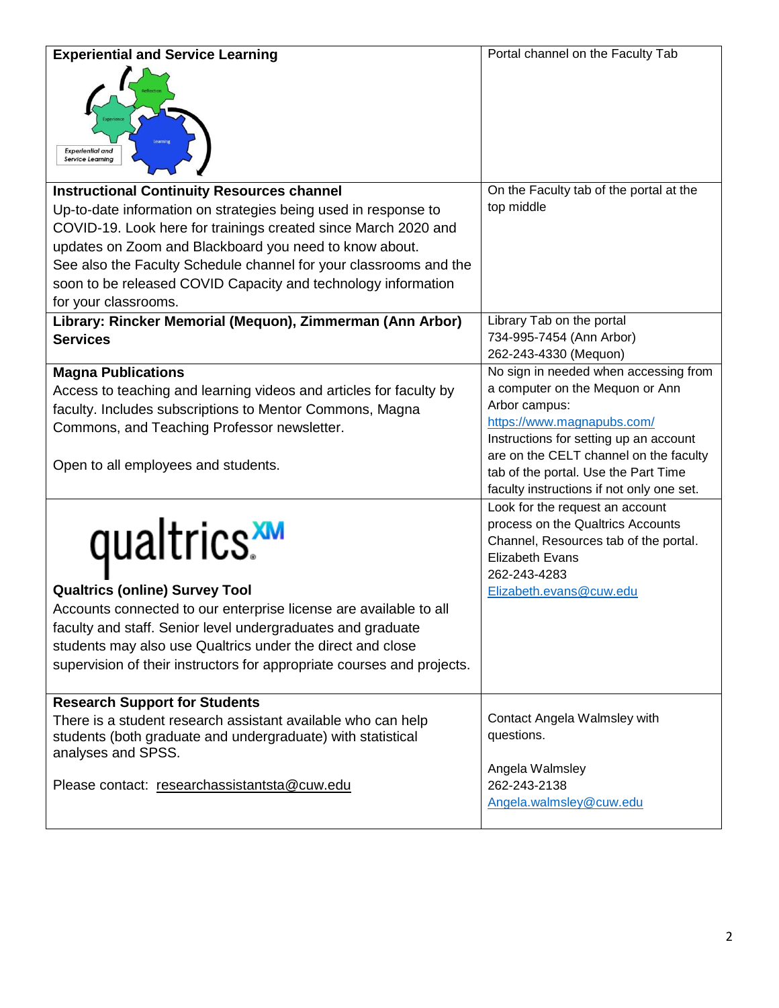| <b>Experiential and Service Learning</b>                                                                                                                                                                                                                                                                                                                 | Portal channel on the Faculty Tab                                                                                                                                                  |
|----------------------------------------------------------------------------------------------------------------------------------------------------------------------------------------------------------------------------------------------------------------------------------------------------------------------------------------------------------|------------------------------------------------------------------------------------------------------------------------------------------------------------------------------------|
| <b>Experiential and</b><br><b>Service Learning</b>                                                                                                                                                                                                                                                                                                       |                                                                                                                                                                                    |
| <b>Instructional Continuity Resources channel</b>                                                                                                                                                                                                                                                                                                        | On the Faculty tab of the portal at the                                                                                                                                            |
| Up-to-date information on strategies being used in response to<br>COVID-19. Look here for trainings created since March 2020 and<br>updates on Zoom and Blackboard you need to know about.<br>See also the Faculty Schedule channel for your classrooms and the<br>soon to be released COVID Capacity and technology information<br>for your classrooms. | top middle                                                                                                                                                                         |
| Library: Rincker Memorial (Mequon), Zimmerman (Ann Arbor)                                                                                                                                                                                                                                                                                                | Library Tab on the portal                                                                                                                                                          |
| <b>Services</b>                                                                                                                                                                                                                                                                                                                                          | 734-995-7454 (Ann Arbor)                                                                                                                                                           |
|                                                                                                                                                                                                                                                                                                                                                          | 262-243-4330 (Mequon)                                                                                                                                                              |
| <b>Magna Publications</b>                                                                                                                                                                                                                                                                                                                                | No sign in needed when accessing from                                                                                                                                              |
| Access to teaching and learning videos and articles for faculty by                                                                                                                                                                                                                                                                                       | a computer on the Mequon or Ann                                                                                                                                                    |
| faculty. Includes subscriptions to Mentor Commons, Magna                                                                                                                                                                                                                                                                                                 | Arbor campus:<br>https://www.magnapubs.com/                                                                                                                                        |
| Commons, and Teaching Professor newsletter.                                                                                                                                                                                                                                                                                                              | Instructions for setting up an account                                                                                                                                             |
| Open to all employees and students.                                                                                                                                                                                                                                                                                                                      | are on the CELT channel on the faculty<br>tab of the portal. Use the Part Time<br>faculty instructions if not only one set.                                                        |
| qualtrics.<br><b>Qualtrics (online) Survey Tool</b><br>Accounts connected to our enterprise license are available to all<br>faculty and staff. Senior level undergraduates and graduate<br>students may also use Qualtrics under the direct and close<br>supervision of their instructors for appropriate courses and projects.                          | Look for the request an account<br>process on the Qualtrics Accounts<br>Channel, Resources tab of the portal.<br><b>Elizabeth Evans</b><br>262-243-4283<br>Elizabeth.evans@cuw.edu |
| <b>Research Support for Students</b>                                                                                                                                                                                                                                                                                                                     |                                                                                                                                                                                    |
| There is a student research assistant available who can help<br>students (both graduate and undergraduate) with statistical<br>analyses and SPSS.                                                                                                                                                                                                        | Contact Angela Walmsley with<br>questions.<br>Angela Walmsley                                                                                                                      |
| Please contact: researchassistantsta@cuw.edu                                                                                                                                                                                                                                                                                                             | 262-243-2138<br>Angela.walmsley@cuw.edu                                                                                                                                            |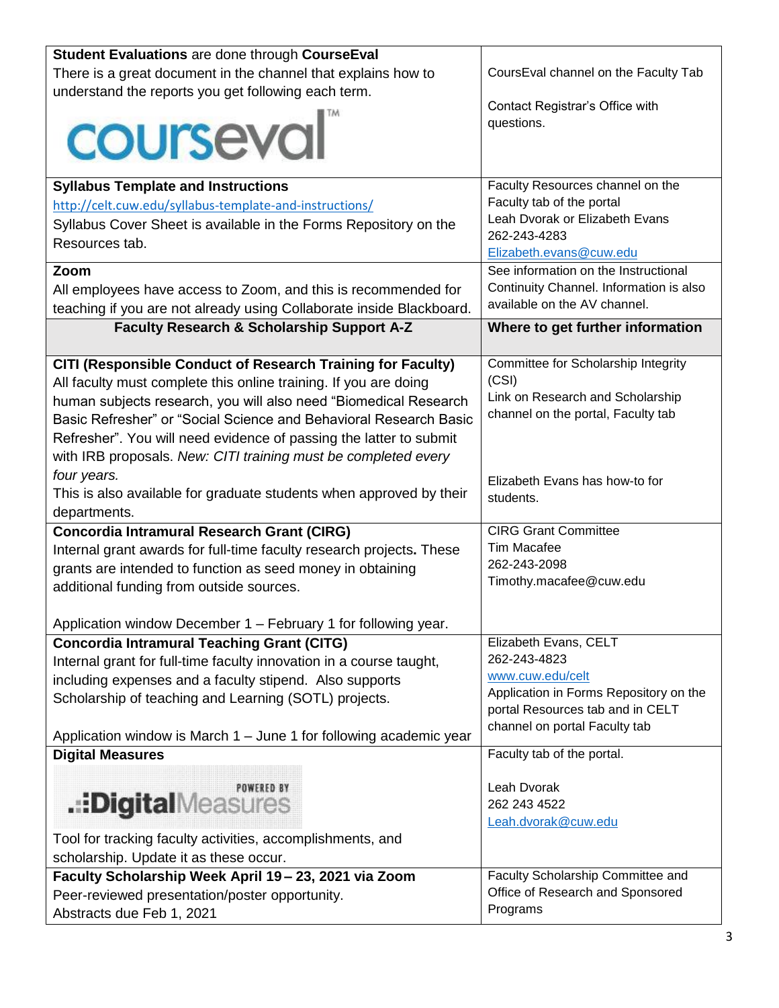| Student Evaluations are done through CourseEval                      |                                             |
|----------------------------------------------------------------------|---------------------------------------------|
| There is a great document in the channel that explains how to        | CoursEval channel on the Faculty Tab        |
| understand the reports you get following each term.                  |                                             |
|                                                                      | Contact Registrar's Office with             |
| courseval                                                            | questions.                                  |
|                                                                      |                                             |
|                                                                      |                                             |
| <b>Syllabus Template and Instructions</b>                            | Faculty Resources channel on the            |
| http://celt.cuw.edu/syllabus-template-and-instructions/              | Faculty tab of the portal                   |
| Syllabus Cover Sheet is available in the Forms Repository on the     | Leah Dvorak or Elizabeth Evans              |
| Resources tab.                                                       | 262-243-4283                                |
|                                                                      | Elizabeth.evans@cuw.edu                     |
| Zoom                                                                 | See information on the Instructional        |
| All employees have access to Zoom, and this is recommended for       | Continuity Channel. Information is also     |
| teaching if you are not already using Collaborate inside Blackboard. | available on the AV channel.                |
| Faculty Research & Scholarship Support A-Z                           | Where to get further information            |
|                                                                      |                                             |
| CITI (Responsible Conduct of Research Training for Faculty)          | Committee for Scholarship Integrity         |
| All faculty must complete this online training. If you are doing     | (CSI)                                       |
| human subjects research, you will also need "Biomedical Research     | Link on Research and Scholarship            |
| Basic Refresher" or "Social Science and Behavioral Research Basic    | channel on the portal, Faculty tab          |
| Refresher". You will need evidence of passing the latter to submit   |                                             |
| with IRB proposals. New: CITI training must be completed every       |                                             |
| four years.                                                          |                                             |
| This is also available for graduate students when approved by their  | Elizabeth Evans has how-to for<br>students. |
| departments.                                                         |                                             |
| <b>Concordia Intramural Research Grant (CIRG)</b>                    | <b>CIRG Grant Committee</b>                 |
| Internal grant awards for full-time faculty research projects. These | <b>Tim Macafee</b>                          |
| grants are intended to function as seed money in obtaining           | 262-243-2098                                |
| additional funding from outside sources.                             | Timothy.macafee@cuw.edu                     |
|                                                                      |                                             |
| Application window December 1 - February 1 for following year.       |                                             |
| <b>Concordia Intramural Teaching Grant (CITG)</b>                    | Elizabeth Evans, CELT                       |
| Internal grant for full-time faculty innovation in a course taught,  | 262-243-4823                                |
| including expenses and a faculty stipend. Also supports              | www.cuw.edu/celt                            |
| Scholarship of teaching and Learning (SOTL) projects.                | Application in Forms Repository on the      |
|                                                                      | portal Resources tab and in CELT            |
|                                                                      | channel on portal Faculty tab               |
| Application window is March $1 -$ June 1 for following academic year | Faculty tab of the portal.                  |
| <b>Digital Measures</b>                                              |                                             |
| POWERED BY                                                           | Leah Dvorak                                 |
| .::DigitalMeasures                                                   | 262 243 4522                                |
|                                                                      | Leah.dvorak@cuw.edu                         |
| Tool for tracking faculty activities, accomplishments, and           |                                             |
| scholarship. Update it as these occur.                               |                                             |
| Faculty Scholarship Week April 19 - 23, 2021 via Zoom                | Faculty Scholarship Committee and           |
| Peer-reviewed presentation/poster opportunity.                       | Office of Research and Sponsored            |
| Abstracts due Feb 1, 2021                                            | Programs                                    |
|                                                                      |                                             |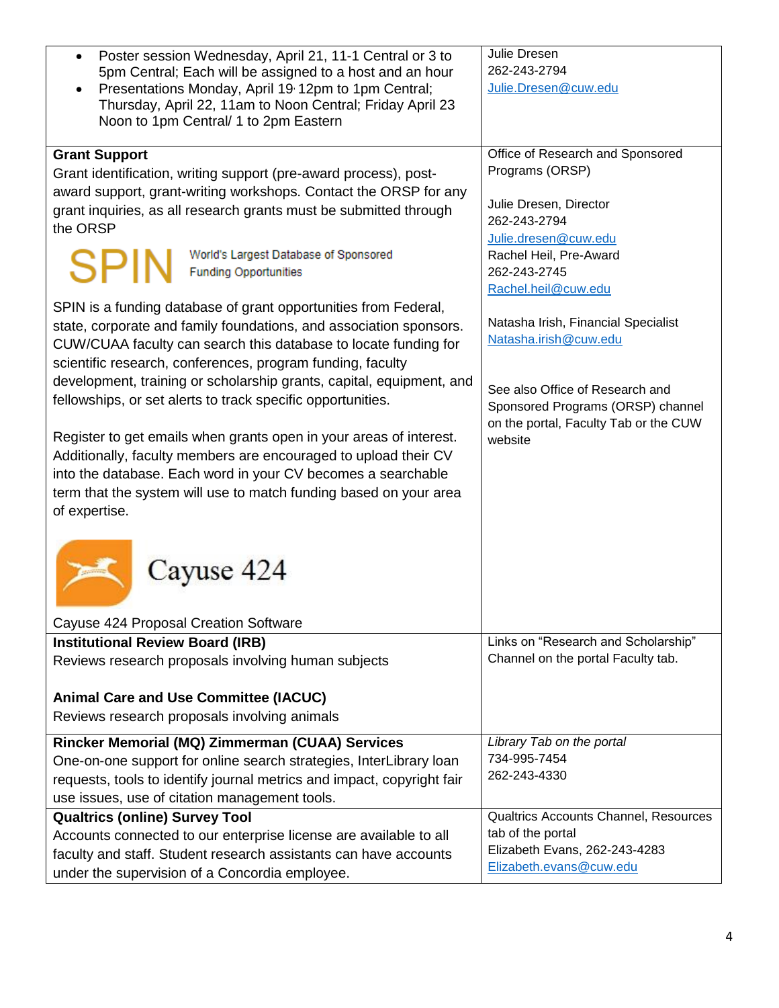| Poster session Wednesday, April 21, 11-1 Central or 3 to                                                                                     | Julie Dresen                                                               |
|----------------------------------------------------------------------------------------------------------------------------------------------|----------------------------------------------------------------------------|
| 5pm Central; Each will be assigned to a host and an hour                                                                                     | 262-243-2794                                                               |
| Presentations Monday, April 19 12pm to 1pm Central;                                                                                          | Julie.Dresen@cuw.edu                                                       |
| Thursday, April 22, 11am to Noon Central; Friday April 23                                                                                    |                                                                            |
| Noon to 1pm Central/ 1 to 2pm Eastern                                                                                                        |                                                                            |
| <b>Grant Support</b>                                                                                                                         | Office of Research and Sponsored                                           |
| Grant identification, writing support (pre-award process), post-                                                                             | Programs (ORSP)                                                            |
| award support, grant-writing workshops. Contact the ORSP for any                                                                             |                                                                            |
| grant inquiries, as all research grants must be submitted through                                                                            | Julie Dresen, Director                                                     |
| the ORSP                                                                                                                                     | 262-243-2794                                                               |
|                                                                                                                                              | Julie.dresen@cuw.edu                                                       |
| World's Largest Database of Sponsored<br><b>SPIN</b><br><b>Funding Opportunities</b>                                                         | Rachel Heil, Pre-Award<br>262-243-2745                                     |
|                                                                                                                                              | Rachel.heil@cuw.edu                                                        |
| SPIN is a funding database of grant opportunities from Federal,                                                                              |                                                                            |
| state, corporate and family foundations, and association sponsors.                                                                           | Natasha Irish, Financial Specialist                                        |
| CUW/CUAA faculty can search this database to locate funding for                                                                              | Natasha.irish@cuw.edu                                                      |
| scientific research, conferences, program funding, faculty                                                                                   |                                                                            |
| development, training or scholarship grants, capital, equipment, and                                                                         |                                                                            |
| fellowships, or set alerts to track specific opportunities.                                                                                  | See also Office of Research and                                            |
|                                                                                                                                              | Sponsored Programs (ORSP) channel<br>on the portal, Faculty Tab or the CUW |
| Register to get emails when grants open in your areas of interest.                                                                           | website                                                                    |
| Additionally, faculty members are encouraged to upload their CV                                                                              |                                                                            |
| into the database. Each word in your CV becomes a searchable                                                                                 |                                                                            |
| term that the system will use to match funding based on your area                                                                            |                                                                            |
| of expertise.                                                                                                                                |                                                                            |
|                                                                                                                                              |                                                                            |
|                                                                                                                                              |                                                                            |
| Cayuse 424                                                                                                                                   |                                                                            |
|                                                                                                                                              |                                                                            |
| Cayuse 424 Proposal Creation Software                                                                                                        |                                                                            |
| <b>Institutional Review Board (IRB)</b>                                                                                                      | Links on "Research and Scholarship"                                        |
| Reviews research proposals involving human subjects                                                                                          | Channel on the portal Faculty tab.                                         |
| <b>Animal Care and Use Committee (IACUC)</b>                                                                                                 |                                                                            |
| Reviews research proposals involving animals                                                                                                 |                                                                            |
|                                                                                                                                              | Library Tab on the portal                                                  |
| Rincker Memorial (MQ) Zimmerman (CUAA) Services                                                                                              | 734-995-7454                                                               |
| One-on-one support for online search strategies, InterLibrary loan<br>requests, tools to identify journal metrics and impact, copyright fair | 262-243-4330                                                               |
| use issues, use of citation management tools.                                                                                                |                                                                            |
| <b>Qualtrics (online) Survey Tool</b>                                                                                                        | Qualtrics Accounts Channel, Resources                                      |
| Accounts connected to our enterprise license are available to all                                                                            | tab of the portal                                                          |
| faculty and staff. Student research assistants can have accounts                                                                             | Elizabeth Evans, 262-243-4283                                              |
| under the supervision of a Concordia employee.                                                                                               | Elizabeth.evans@cuw.edu                                                    |
|                                                                                                                                              |                                                                            |